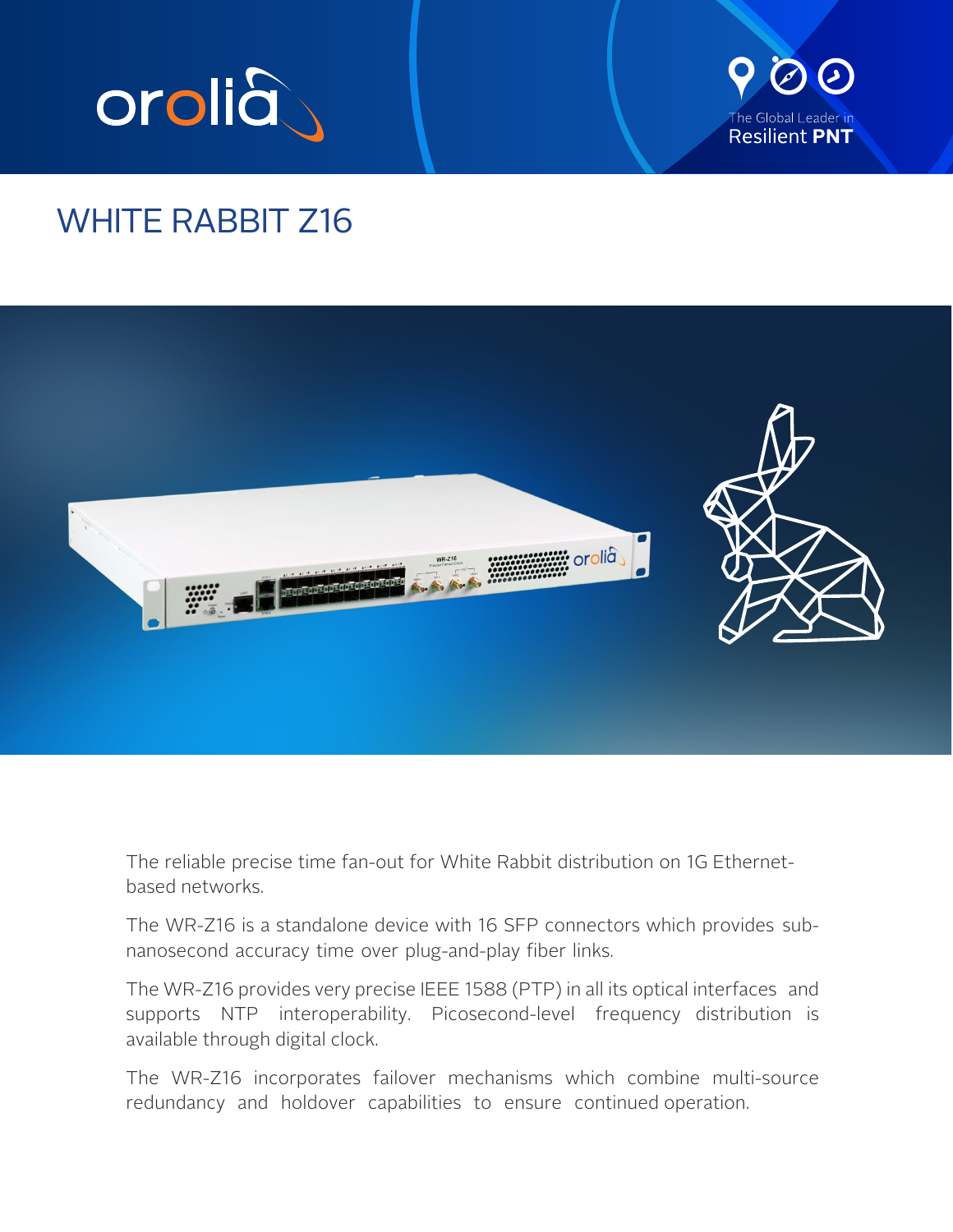



# WHITE RABBIT Z16



The reliable precise time fan-out for White Rabbit distribution on 1G Ethernetbased networks.

The WR-Z16 is a standalone device with 16 SFP connectors which provides subnanosecond accuracy time over plug-and-play fiber links.

The WR-Z16 provides very precise IEEE 1588 (PTP) in all its optical interfaces and supports NTP interoperability. Picosecond-level frequency distribution is available through digital clock.

The WR-Z16 incorporates failover mechanisms which combine multi-source redundancy and holdover capabilities to ensure continued operation.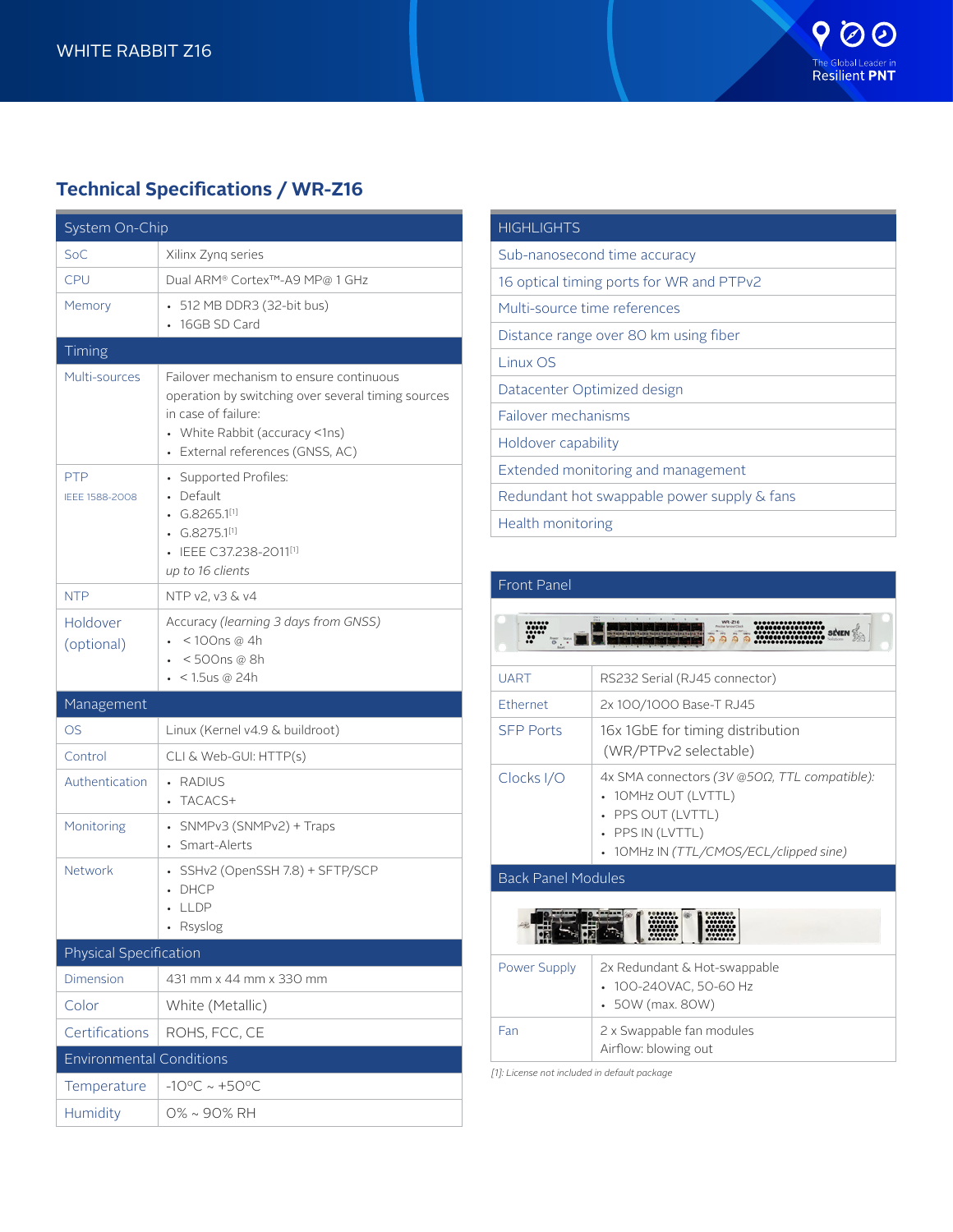## **Technical Specifications / WR-Z16**

| System On-Chip                  |                                                                                                                                                                                                       |  |  |  |  |  |
|---------------------------------|-------------------------------------------------------------------------------------------------------------------------------------------------------------------------------------------------------|--|--|--|--|--|
| SoC                             | Xilinx Zynq series                                                                                                                                                                                    |  |  |  |  |  |
| <b>CPU</b>                      | Dual ARM® Cortex™-A9 MP@ 1 GHz                                                                                                                                                                        |  |  |  |  |  |
| Memory                          | 512 MB DDR3 (32-bit bus)<br>16GB SD Card                                                                                                                                                              |  |  |  |  |  |
| Timing                          |                                                                                                                                                                                                       |  |  |  |  |  |
| Multi-sources                   | Failover mechanism to ensure continuous<br>operation by switching over several timing sources<br>in case of failure:<br>• White Rabbit (accuracy <1ns)<br>External references (GNSS, AC)<br>$\bullet$ |  |  |  |  |  |
| <b>PTP</b><br>IEEE 1588-2008    | • Supported Profiles:<br>• Default<br>$\cdot$ G.8265.1[1]<br>G.8275.1[1]<br>IEEE C37.238-2011[1]<br>up to 16 clients                                                                                  |  |  |  |  |  |
| <b>NTP</b>                      | NTP v2, v3 & v4                                                                                                                                                                                       |  |  |  |  |  |
| Holdover<br>(optional)          | Accuracy (learning 3 days from GNSS)<br>< 100ns @ 4h<br>< 500ns @ 8h<br>< 1.5us @ 24h                                                                                                                 |  |  |  |  |  |
| Management                      |                                                                                                                                                                                                       |  |  |  |  |  |
| <b>OS</b>                       | Linux (Kernel v4.9 & buildroot)                                                                                                                                                                       |  |  |  |  |  |
| Control                         | CLI & Web-GUI: HTTP(s)                                                                                                                                                                                |  |  |  |  |  |
| Authentication                  | RADIUS<br>$\bullet$<br>TACACS+                                                                                                                                                                        |  |  |  |  |  |
| Monitoring                      | • SNMPv3 (SNMPv2) + Traps<br>Smart-Alerts                                                                                                                                                             |  |  |  |  |  |
| Network                         | • SSHv2 (OpenSSH 7.8) + SFTP/SCP<br>• DHCP<br>$\cdot$ lldp<br>Rsyslog                                                                                                                                 |  |  |  |  |  |
| Physical Specification          |                                                                                                                                                                                                       |  |  |  |  |  |
| <b>Dimension</b>                | 431 mm x 44 mm x 330 mm                                                                                                                                                                               |  |  |  |  |  |
| Color                           | White (Metallic)                                                                                                                                                                                      |  |  |  |  |  |
| Certifications                  | ROHS, FCC, CE                                                                                                                                                                                         |  |  |  |  |  |
| <b>Environmental Conditions</b> |                                                                                                                                                                                                       |  |  |  |  |  |
| Temperature                     | $-10^{\circ}$ C ~ $+50^{\circ}$ C                                                                                                                                                                     |  |  |  |  |  |
| Humidity                        | 0% ~ 90% RH                                                                                                                                                                                           |  |  |  |  |  |

| <b>HIGHLIGHTS</b>                           |
|---------------------------------------------|
| Sub-nanosecond time accuracy                |
| 16 optical timing ports for WR and PTPv2    |
| Multi-source time references                |
| Distance range over 80 km using fiber       |
| Linux OS                                    |
| Datacenter Optimized design                 |
| Failover mechanisms                         |
| Holdover capability                         |
| Extended monitoring and management          |
| Redundant hot swappable power supply & fans |
| Health monitoring                           |

| <b>Front Panel</b>        |                                                                                                                                                      |  |  |  |
|---------------------------|------------------------------------------------------------------------------------------------------------------------------------------------------|--|--|--|
|                           | WR-Z16                                                                                                                                               |  |  |  |
| <b>UART</b>               | RS232 Serial (RJ45 connector)                                                                                                                        |  |  |  |
| Ethernet                  | 2x 100/1000 Base-T RJ45                                                                                                                              |  |  |  |
| <b>SEP Ports</b>          | 16x 1GbE for timing distribution<br>(WR/PTPv2 selectable)                                                                                            |  |  |  |
| Clocks I/O                | 4x SMA connectors (3V @5OΩ, TTL compatible):<br>• 10MHz OUT (LVTTL)<br>• PPS OUT (LVTTL)<br>• PPS IN (LVTTL)<br>10MHz IN (TTL/CMOS/ECL/clipped sine) |  |  |  |
| <b>Back Panel Modules</b> |                                                                                                                                                      |  |  |  |
|                           |                                                                                                                                                      |  |  |  |

| Power Supply | 2x Redundant & Hot-swappable<br>• 100-240VAC, 50-60 Hz<br>$\cdot$ 50W (max. 80W) |  |  |  |  |
|--------------|----------------------------------------------------------------------------------|--|--|--|--|
| Fan          | 2 x Swappable fan modules<br>Airflow: blowing out                                |  |  |  |  |

*[1]: License not included in default package*